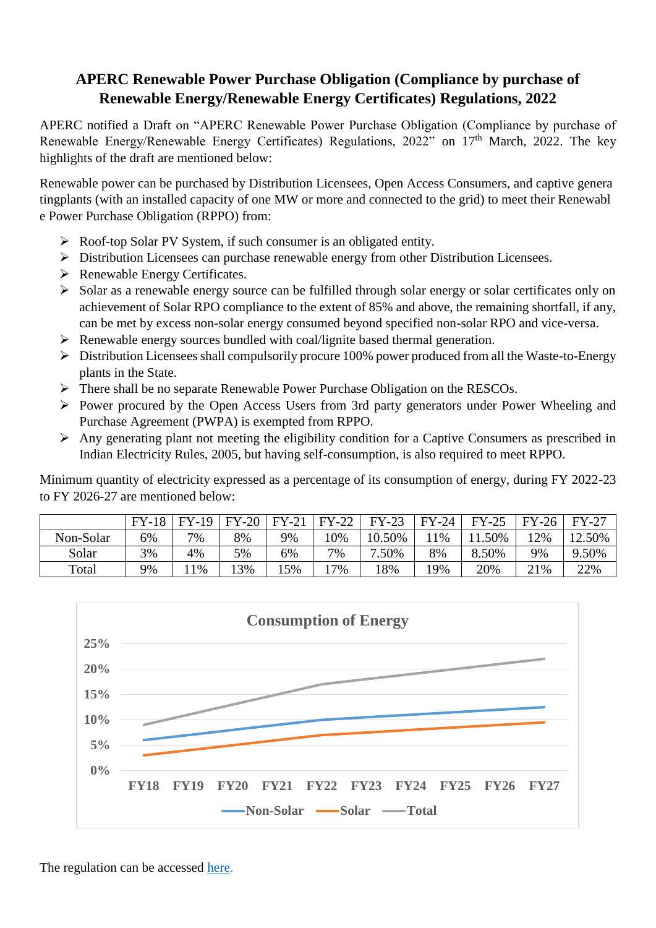## **APERC Renewable Power Purchase Obligation (Compliance by purchase of Renewable Energy/Renewable Energy Certificates) Regulations, 2022**

APERC notified a Draft on "APERC Renewable Power Purchase Obligation (Compliance by purchase of Renewable Energy/Renewable Energy Certificates) Regulations, 2022" on 17<sup>th</sup> March, 2022. The key highlights of the draft are mentioned below:

Renewable power can be purchased by Distribution Licensees, Open Access Consumers, and captive genera tingplants (with an installed capacity of one MW or more and connected to the grid) to meet their Renewabl e Power Purchase Obligation (RPPO) from:

- Roof-top Solar PV System, if such consumer is an obligated entity.
- Distribution Licensees can purchase renewable energy from other Distribution Licensees.
- $\triangleright$  Renewable Energy Certificates.
- Solar as a renewable energy source can be fulfilled through solar energy or solar certificates only on achievement of Solar RPO compliance to the extent of 85% and above, the remaining shortfall, if any, can be met by excess non-solar energy consumed beyond specified non-solar RPO and vice-versa.
- $\triangleright$  Renewable energy sources bundled with coal/lignite based thermal generation.
- $\triangleright$  Distribution Licensees shall compulsorily procure 100% power produced from all the Waste-to-Energy plants in the State.
- There shall be no separate Renewable Power Purchase Obligation on the RESCOs.
- Power procured by the Open Access Users from 3rd party generators under Power Wheeling and Purchase Agreement (PWPA) is exempted from RPPO.
- $\triangleright$  Any generating plant not meeting the eligibility condition for a Captive Consumers as prescribed in Indian Electricity Rules, 2005, but having self-consumption, is also required to meet RPPO.

Minimum quantity of electricity expressed as a percentage of its consumption of energy, during FY 2022-23 to FY 2026-27 are mentioned below:

|           | $FV-18$ | $FY-19$ | $FY-20$ | $FY-21$ | $FY-22$ | $FY-23$   | $FY-24$ | $FY-25$ | $FY-26$ | <b>FY-27</b> |
|-----------|---------|---------|---------|---------|---------|-----------|---------|---------|---------|--------------|
| Non-Solar | 6%      | 7%      | 8%      | 9%      | $0\%$   | 10.50%    | 1%      | .50%    | $12\%$  | 12.50%       |
| Solar     | 3%      | 4%      | 5%      | 6%      | 7%      | .50%<br>⇁ | 8%      | 8.50%   | 9%      | 9.50%        |
| Total     | 9%      | 1%      | 13%     | 15%     | 7%      | 18%       | 19%     | 20%     | 21%     | 22%          |



The regulation can be accessed [here.](https://cer.iitk.ac.in/odf_assets/upload_files/blog/Draft_RPPO_Regulation.pdf)